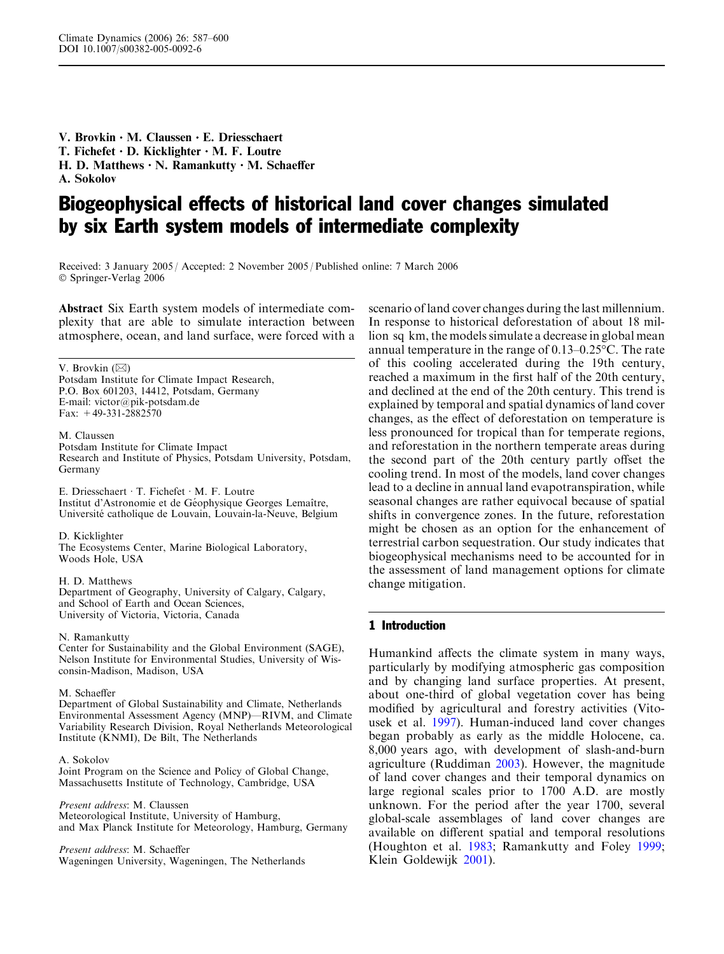V. Brovkin  $\cdot$  M. Claussen  $\cdot$  E. Driesschaert T. Fichefet  $\cdot$  D. Kicklighter  $\cdot$  M. F. Loutre

H. D. Matthews  $\cdot$  N. Ramankutty  $\cdot$  M. Schaeffer

A. Sokolov

# Biogeophysical effects of historical land cover changes simulated by six Earth system models of intermediate complexity

Received: 3 January 2005 / Accepted: 2 November 2005 / Published online: 7 March 2006 Springer-Verlag 2006

Abstract Six Earth system models of intermediate complexity that are able to simulate interaction between atmosphere, ocean, and land surface, were forced with a

V. Brovkin  $(\boxtimes)$ Potsdam Institute for Climate Impact Research, P.O. Box 601203, 14412, Potsdam, Germany E-mail: victor@pik-potsdam.de Fax: +49-331-2882570

M. Claussen

Potsdam Institute for Climate Impact Research and Institute of Physics, Potsdam University, Potsdam, Germany

E. Driesschaert · T. Fichefet · M. F. Loutre Institut d'Astronomie et de Géophysique Georges Lemaître, Université catholique de Louvain, Louvain-la-Neuve, Belgium

D. Kicklighter The Ecosystems Center, Marine Biological Laboratory, Woods Hole, USA

H. D. Matthews Department of Geography, University of Calgary, Calgary, and School of Earth and Ocean Sciences, University of Victoria, Victoria, Canada

N. Ramankutty Center for Sustainability and the Global Environment (SAGE), Nelson Institute for Environmental Studies, University of Wisconsin-Madison, Madison, USA

## M. Schaeffer

Department of Global Sustainability and Climate, Netherlands Environmental Assessment Agency (MNP)—RIVM, and Climate Variability Research Division, Royal Netherlands Meteorological Institute (KNMI), De Bilt, The Netherlands

## A. Sokolov

Joint Program on the Science and Policy of Global Change, Massachusetts Institute of Technology, Cambridge, USA

Present address: M. Claussen Meteorological Institute, University of Hamburg, and Max Planck Institute for Meteorology, Hamburg, Germany

Present address: M. Schaeffer Wageningen University, Wageningen, The Netherlands

scenario of land cover changes during the last millennium. In response to historical deforestation of about 18 million sq km, the models simulate a decrease in global mean annual temperature in the range of  $0.13-0.25$ °C. The rate of this cooling accelerated during the 19th century, reached a maximum in the first half of the 20th century, and declined at the end of the 20th century. This trend is explained by temporal and spatial dynamics of land cover changes, as the effect of deforestation on temperature is less pronounced for tropical than for temperate regions, and reforestation in the northern temperate areas during the second part of the 20th century partly offset the cooling trend. In most of the models, land cover changes lead to a decline in annual land evapotranspiration, while seasonal changes are rather equivocal because of spatial shifts in convergence zones. In the future, reforestation might be chosen as an option for the enhancement of terrestrial carbon sequestration. Our study indicates that biogeophysical mechanisms need to be accounted for in the assessment of land management options for climate change mitigation.

## 1 Introduction

Humankind affects the climate system in many ways, particularly by modifying atmospheric gas composition and by changing land surface properties. At present, about one-third of global vegetation cover has being modified by agricultural and forestry activities (Vitousek et al. [1997](#page-13-0)). Human-induced land cover changes began probably as early as the middle Holocene, ca. 8,000 years ago, with development of slash-and-burn agriculture (Ruddiman [2003](#page-13-0)). However, the magnitude of land cover changes and their temporal dynamics on large regional scales prior to 1700 A.D. are mostly unknown. For the period after the year 1700, several global-scale assemblages of land cover changes are available on different spatial and temporal resolutions (Houghton et al. [1983](#page-12-0); Ramankutty and Foley [1999](#page-13-0); Klein Goldewijk [2001\)](#page-13-0).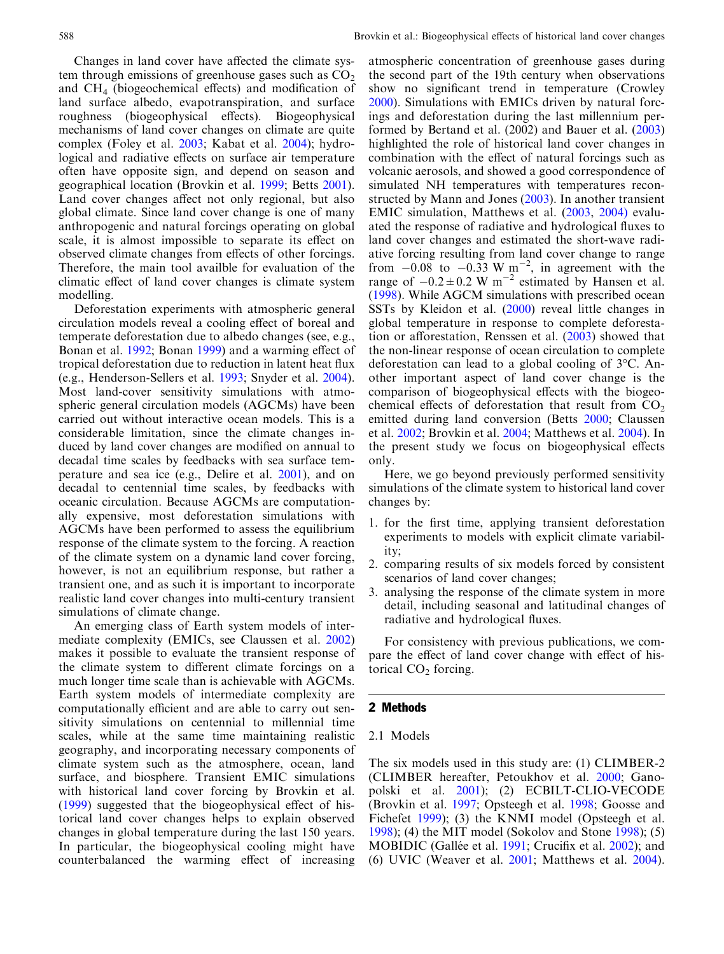Changes in land cover have affected the climate system through emissions of greenhouse gases such as  $CO<sub>2</sub>$ and CH4 (biogeochemical effects) and modification of land surface albedo, evapotranspiration, and surface roughness (biogeophysical effects). Biogeophysical mechanisms of land cover changes on climate are quite complex (Foley et al. [2003](#page-12-0); Kabat et al. [2004\)](#page-12-0); hydrological and radiative effects on surface air temperature often have opposite sign, and depend on season and geographical location (Brovkin et al. [1999;](#page-12-0) Betts [2001\)](#page-12-0). Land cover changes affect not only regional, but also global climate. Since land cover change is one of many anthropogenic and natural forcings operating on global scale, it is almost impossible to separate its effect on observed climate changes from effects of other forcings. Therefore, the main tool availble for evaluation of the climatic effect of land cover changes is climate system modelling.

Deforestation experiments with atmospheric general circulation models reveal a cooling effect of boreal and temperate deforestation due to albedo changes (see, e.g., Bonan et al. [1992;](#page-12-0) Bonan [1999](#page-12-0)) and a warming effect of tropical deforestation due to reduction in latent heat flux (e.g., Henderson-Sellers et al. [1993](#page-12-0); Snyder et al. [2004\)](#page-13-0). Most land-cover sensitivity simulations with atmospheric general circulation models (AGCMs) have been carried out without interactive ocean models. This is a considerable limitation, since the climate changes induced by land cover changes are modified on annual to decadal time scales by feedbacks with sea surface temperature and sea ice (e.g., Delire et al. [2001](#page-12-0)), and on decadal to centennial time scales, by feedbacks with oceanic circulation. Because AGCMs are computationally expensive, most deforestation simulations with AGCMs have been performed to assess the equilibrium response of the climate system to the forcing. A reaction of the climate system on a dynamic land cover forcing, however, is not an equilibrium response, but rather a transient one, and as such it is important to incorporate realistic land cover changes into multi-century transient simulations of climate change.

An emerging class of Earth system models of intermediate complexity (EMICs, see Claussen et al. [2002\)](#page-12-0) makes it possible to evaluate the transient response of the climate system to different climate forcings on a much longer time scale than is achievable with AGCMs. Earth system models of intermediate complexity are computationally efficient and are able to carry out sensitivity simulations on centennial to millennial time scales, while at the same time maintaining realistic geography, and incorporating necessary components of climate system such as the atmosphere, ocean, land surface, and biosphere. Transient EMIC simulations with historical land cover forcing by Brovkin et al. ([1999\)](#page-12-0) suggested that the biogeophysical effect of historical land cover changes helps to explain observed changes in global temperature during the last 150 years. In particular, the biogeophysical cooling might have counterbalanced the warming effect of increasing

atmospheric concentration of greenhouse gases during the second part of the 19th century when observations show no significant trend in temperature (Crowley [2000\)](#page-12-0). Simulations with EMICs driven by natural forcings and deforestation during the last millennium performed by Bertand et al. (2002) and Bauer et al. [\(2003\)](#page-12-0) highlighted the role of historical land cover changes in combination with the effect of natural forcings such as volcanic aerosols, and showed a good correspondence of simulated NH temperatures with temperatures reconstructed by Mann and Jones ([2003\)](#page-13-0). In another transient EMIC simulation, Matthews et al. ([2003,](#page-13-0) [2004\)](#page-13-0) evaluated the response of radiative and hydrological fluxes to land cover changes and estimated the short-wave radiative forcing resulting from land cover change to range from  $-0.08$  to  $-0.33$  W m<sup>-2</sup>, in agreement with the range of  $-0.2 \pm 0.2$  W m<sup>-2</sup> estimated by Hansen et al. ([1998](#page-12-0)). While AGCM simulations with prescribed ocean SSTs by Kleidon et al. ([2000\)](#page-12-0) reveal little changes in global temperature in response to complete deforestation or afforestation, Renssen et al. [\(2003\)](#page-13-0) showed that the non-linear response of ocean circulation to complete deforestation can lead to a global cooling of  $3^{\circ}$ C. Another important aspect of land cover change is the comparison of biogeophysical effects with the biogeochemical effects of deforestation that result from  $CO<sub>2</sub>$ emitted during land conversion (Betts [2000;](#page-12-0) Claussen et al. [2002](#page-12-0); Brovkin et al. [2004](#page-12-0); Matthews et al. [2004\)](#page-13-0). In the present study we focus on biogeophysical effects only.

Here, we go beyond previously performed sensitivity simulations of the climate system to historical land cover changes by:

- 1. for the first time, applying transient deforestation experiments to models with explicit climate variability;
- 2. comparing results of six models forced by consistent scenarios of land cover changes;
- 3. analysing the response of the climate system in more detail, including seasonal and latitudinal changes of radiative and hydrological fluxes.

For consistency with previous publications, we compare the effect of land cover change with effect of historical  $CO<sub>2</sub>$  forcing.

## 2 Methods

## 2.1 Models

The six models used in this study are: (1) CLIMBER-2 (CLIMBER hereafter, Petoukhov et al. [2000;](#page-13-0) Ganopolski et al. [2001\)](#page-12-0); (2) ECBILT-CLIO-VECODE (Brovkin et al. [1997;](#page-12-0) Opsteegh et al. [1998;](#page-13-0) Goosse and Fichefet [1999](#page-12-0)); (3) the KNMI model (Opsteegh et al. [1998\)](#page-13-0); (4) the MIT model (Sokolov and Stone [1998](#page-13-0)); (5) MOBIDIC (Gallée et al. [1991](#page-12-0); Crucifix et al. [2002\)](#page-12-0); and (6) UVIC (Weaver et al. [2001;](#page-13-0) Matthews et al. [2004\)](#page-13-0).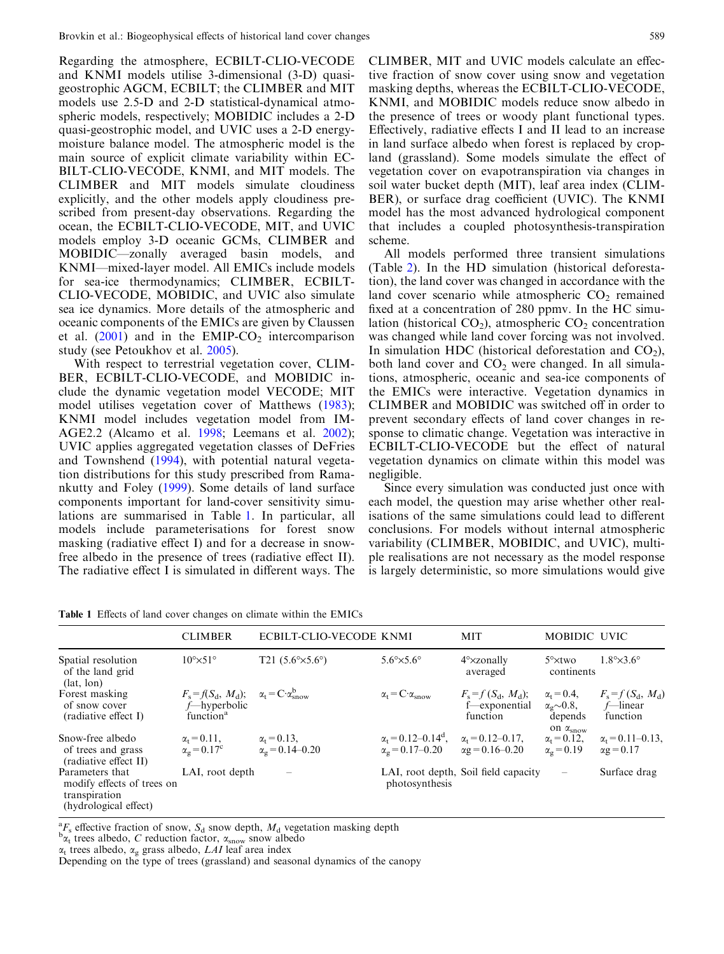<span id="page-2-0"></span>Regarding the atmosphere, ECBILT-CLIO-VECODE and KNMI models utilise 3-dimensional (3-D) quasigeostrophic AGCM, ECBILT; the CLIMBER and MIT models use 2.5-D and 2-D statistical-dynamical atmospheric models, respectively; MOBIDIC includes a 2-D quasi-geostrophic model, and UVIC uses a 2-D energymoisture balance model. The atmospheric model is the main source of explicit climate variability within EC-BILT-CLIO-VECODE, KNMI, and MIT models. The CLIMBER and MIT models simulate cloudiness explicitly, and the other models apply cloudiness prescribed from present-day observations. Regarding the ocean, the ECBILT-CLIO-VECODE, MIT, and UVIC models employ 3-D oceanic GCMs, CLIMBER and MOBIDIC—zonally averaged basin models, KNMI—mixed-layer model. All EMICs include models for sea-ice thermodynamics; CLIMBER, ECBILT-CLIO-VECODE, MOBIDIC, and UVIC also simulate sea ice dynamics. More details of the atmospheric and oceanic components of the EMICs are given by Claussen et al.  $(2001)$  and in the EMIP-CO<sub>2</sub> intercomparison study (see Petoukhov et al. [2005\)](#page-13-0).

With respect to terrestrial vegetation cover, CLIM-BER, ECBILT-CLIO-VECODE, and MOBIDIC include the dynamic vegetation model VECODE; MIT model utilises vegetation cover of Matthews ([1983\)](#page-13-0); KNMI model includes vegetation model from IM-AGE2.2 (Alcamo et al. [1998;](#page-12-0) Leemans et al. [2002\)](#page-13-0); UVIC applies aggregated vegetation classes of DeFries and Townshend [\(1994\)](#page-12-0), with potential natural vegetation distributions for this study prescribed from Ramankutty and Foley ([1999](#page-13-0)). Some details of land surface components important for land-cover sensitivity simulations are summarised in Table 1. In particular, all models include parameterisations for forest snow masking (radiative effect I) and for a decrease in snowfree albedo in the presence of trees (radiative effect II). The radiative effect I is simulated in different ways. The CLIMBER, MIT and UVIC models calculate an effective fraction of snow cover using snow and vegetation masking depths, whereas the ECBILT-CLIO-VECODE, KNMI, and MOBIDIC models reduce snow albedo in the presence of trees or woody plant functional types. Effectively, radiative effects I and II lead to an increase in land surface albedo when forest is replaced by cropland (grassland). Some models simulate the effect of vegetation cover on evapotranspiration via changes in soil water bucket depth (MIT), leaf area index (CLIM-BER), or surface drag coefficient (UVIC). The KNMI model has the most advanced hydrological component that includes a coupled photosynthesis-transpiration scheme.

All models performed three transient simulations (Table [2\)](#page-3-0). In the HD simulation (historical deforestation), the land cover was changed in accordance with the land cover scenario while atmospheric  $CO<sub>2</sub>$  remained fixed at a concentration of 280 ppmv. In the HC simulation (historical  $CO<sub>2</sub>$ ), atmospheric  $CO<sub>2</sub>$  concentration was changed while land cover forcing was not involved. In simulation HDC (historical deforestation and  $CO<sub>2</sub>$ ), both land cover and  $CO<sub>2</sub>$  were changed. In all simulations, atmospheric, oceanic and sea-ice components of the EMICs were interactive. Vegetation dynamics in CLIMBER and MOBIDIC was switched off in order to prevent secondary effects of land cover changes in response to climatic change. Vegetation was interactive in ECBILT-CLIO-VECODE but the effect of natural vegetation dynamics on climate within this model was negligible.

Since every simulation was conducted just once with each model, the question may arise whether other realisations of the same simulations could lead to different conclusions. For models without internal atmospheric variability (CLIMBER, MOBIDIC, and UVIC), multiple realisations are not necessary as the model response is largely deterministic, so more simulations would give

Table 1 Effects of land cover changes on climate within the EMICs

|                                                                                         | <b>CLIMBER</b>                                                                                      | ECBILT-CLIO-VECODE KNMI                               |                                                                | <b>MIT</b>                                                          | MOBIDIC UVIC                                                                |                                                                  |
|-----------------------------------------------------------------------------------------|-----------------------------------------------------------------------------------------------------|-------------------------------------------------------|----------------------------------------------------------------|---------------------------------------------------------------------|-----------------------------------------------------------------------------|------------------------------------------------------------------|
| Spatial resolution<br>of the land grid<br>(lat, lon)                                    | $10^{\circ} \times 51^{\circ}$                                                                      | T21 $(5.6^{\circ} \times 5.6^{\circ})$                | $5.6^{\circ} \times 5.6^{\circ}$                               | $4^{\circ}$ xzonally<br>averaged                                    | $5^\circ \times$ two<br>continents                                          | $1.8^\circ \times 3.6^\circ$                                     |
| Forest masking<br>of snow cover<br>(radiative effect I)                                 | $F_s = f(S_d, M_d);$ $\alpha_t = C \alpha_{\text{snow}}^b$<br>f-hyperbolic<br>function <sup>a</sup> |                                                       | $\alpha_t = C \cdot \alpha_{\text{snow}}$                      | $F_{\rm s} = f(S_{\rm d}, M_{\rm d});$<br>f—exponential<br>function | $\alpha_{t} = 0.4$ ,<br>$\alpha_{\sigma}$ ~0.8,<br>depends                  | $F_{\rm s} = f(S_{\rm d}, M_{\rm d})$<br>$f$ —linear<br>function |
| Snow-free albedo<br>of trees and grass<br>(radiative effect II)                         | $\alpha_{\rm t} = 0.11$ ,<br>$\alpha_{\rm g}$ = 0.17 <sup>c</sup>                                   | $\alpha_t = 0.13$ ,<br>$\alpha_{\rm o} = 0.14 - 0.20$ | $\alpha_t = 0.12 - 0.14^d$ ,<br>$\alpha_{\rm o} = 0.17 - 0.20$ | $\alpha_t = 0.12 - 0.17$ ,<br>$\alpha$ g = 0.16–0.20                | on $\alpha_{\text{snow}}$<br>$\alpha_t = 0.12$ ,<br>$\alpha_{\rm o} = 0.19$ | $\alpha_t = 0.11 - 0.13$ ,<br>$\alpha$ g = 0.17                  |
| Parameters that<br>modify effects of trees on<br>transpiration<br>(hydrological effect) | LAI, root depth                                                                                     | $\overline{\phantom{0}}$                              | photosynthesis                                                 | LAI, root depth, Soil field capacity                                | $\equiv$                                                                    | Surface drag                                                     |

 ${}^{a}F_{s}$  effective fraction of snow,  $S_{d}$  snow depth,  $M_{d}$  vegetation masking depth  ${}^{b}_{\alpha}$  trees albedo. C reduction factor  $\alpha$  snow albedo.

 $b_{\alpha_t}$  trees albedo, C reduction factor,  $\alpha_{\text{snow}}$  snow albedo

 $\alpha_t$  trees albedo,  $\alpha_g$  grass albedo, LAI leaf area index

Depending on the type of trees (grassland) and seasonal dynamics of the canopy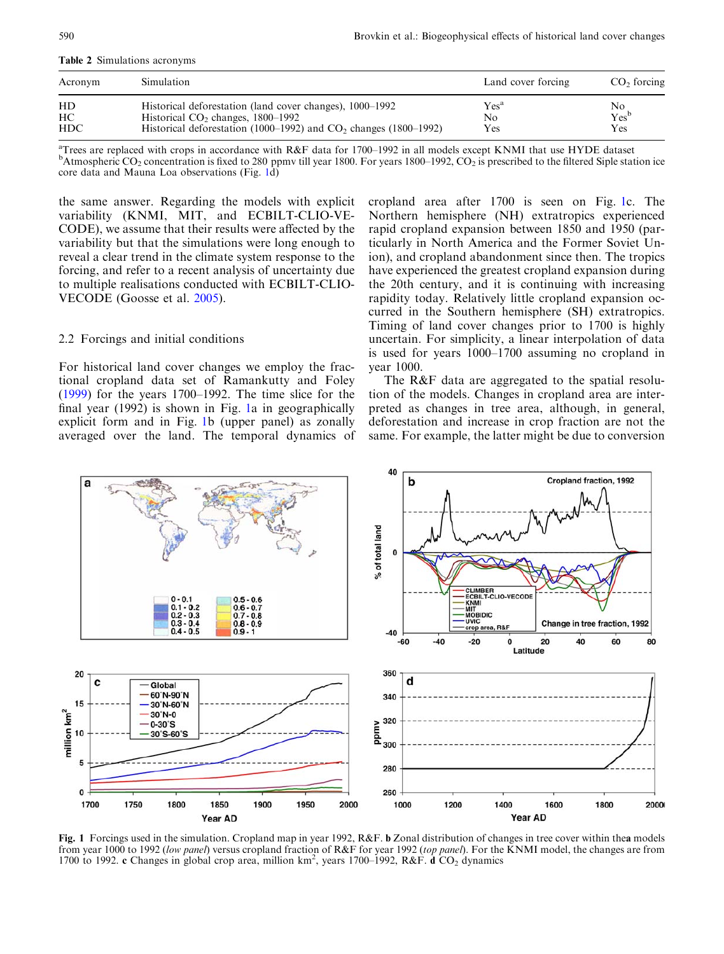<span id="page-3-0"></span>

|  |  |  |  |  | <b>Table 2</b> Simulations acronyms |
|--|--|--|--|--|-------------------------------------|
|--|--|--|--|--|-------------------------------------|

| Acronym    | Simulation                                                         | Land cover forcing          | $CO2$ forcing    |
|------------|--------------------------------------------------------------------|-----------------------------|------------------|
| HD         | Historical deforestation (land cover changes), 1000–1992           | $\mathrm{Yes}^{\mathrm{a}}$ | No               |
| HC         | Historical $CO2$ , changes, 1800–1992                              | No.                         | Yes <sup>b</sup> |
| <b>HDC</b> | Historical deforestation (1000–1992) and $CO2$ changes (1800–1992) | Yes                         | Yes              |

<sup>a</sup>Trees are replaced with crops in accordance with R&F data for 1700–1992 in all models except KNMI that use HYDE dataset  $b$ Atmospheric CO<sub>2</sub> concentration is fixed to 280 ppmv till year 1800. For years 1800–1992, CO<sub>2</sub> is prescribed to the filtered Siple station ice core data and Mauna Loa observations (Fig. 1d)

the same answer. Regarding the models with explicit variability (KNMI, MIT, and ECBILT-CLIO-VE-CODE), we assume that their results were affected by the variability but that the simulations were long enough to reveal a clear trend in the climate system response to the forcing, and refer to a recent analysis of uncertainty due to multiple realisations conducted with ECBILT-CLIO-VECODE (Goosse et al. [2005\)](#page-12-0).

## 2.2 Forcings and initial conditions

For historical land cover changes we employ the fractional cropland data set of Ramankutty and Foley ([1999\)](#page-13-0) for the years 1700–1992. The time slice for the final year (1992) is shown in Fig. 1a in geographically explicit form and in Fig. 1b (upper panel) as zonally averaged over the land. The temporal dynamics of cropland area after 1700 is seen on Fig. 1c. The Northern hemisphere (NH) extratropics experienced rapid cropland expansion between 1850 and 1950 (particularly in North America and the Former Soviet Union), and cropland abandonment since then. The tropics have experienced the greatest cropland expansion during the 20th century, and it is continuing with increasing rapidity today. Relatively little cropland expansion occurred in the Southern hemisphere (SH) extratropics. Timing of land cover changes prior to 1700 is highly uncertain. For simplicity, a linear interpolation of data is used for years 1000–1700 assuming no cropland in year 1000.

The R&F data are aggregated to the spatial resolution of the models. Changes in cropland area are interpreted as changes in tree area, although, in general, deforestation and increase in crop fraction are not the same. For example, the latter might be due to conversion



Fig. 1 Forcings used in the simulation. Cropland map in year 1992, R&F. b Zonal distribution of changes in tree cover within thea models from year 1000 to 1992 (low panel) versus cropland fraction of R&F for year 1992 (top panel). For the KNMI model, the changes are from 1700 to 1992. c Changes in global crop area, million km<sup>2</sup>, years 1700–1992, R&F.  $\hat{d}$  CO<sub>2</sub> dynamics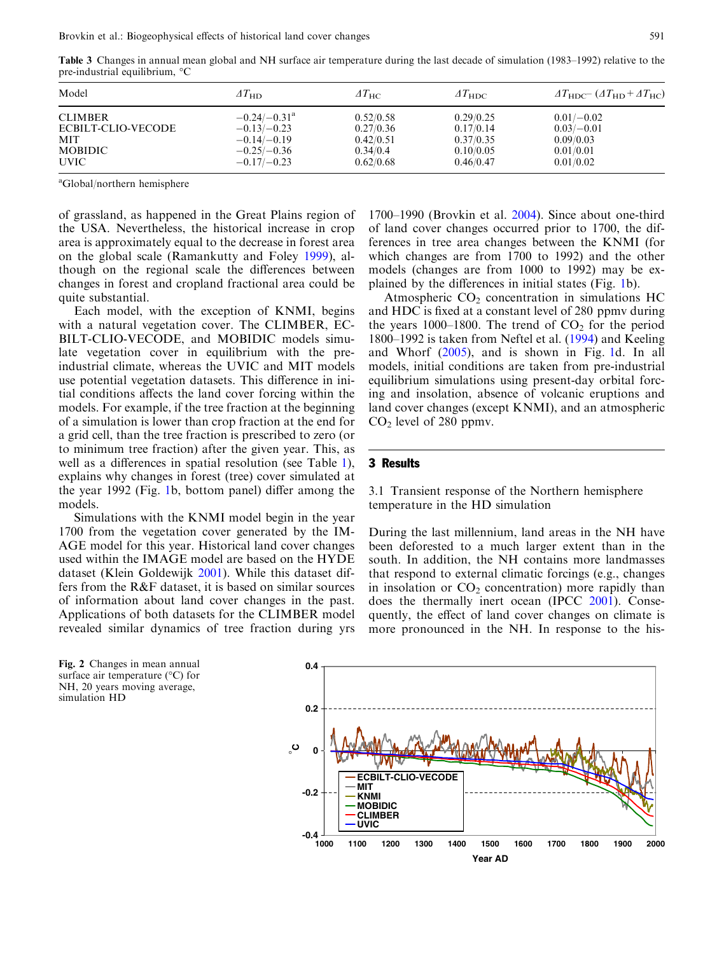<span id="page-4-0"></span>Table 3 Changes in annual mean global and NH surface air temperature during the last decade of simulation (1983–1992) relative to the pre-industrial equilibrium, °C

| Model                     | $AT_{HD}$                  | $AT_{HC}$ | $AT_{\rm HDC}$ | $AT_{\rm HDC}$ ( $AT_{\rm HD}$ + $AT_{\rm HC}$ ) |
|---------------------------|----------------------------|-----------|----------------|--------------------------------------------------|
| <b>CLIMBER</b>            | $-0.24/-0.31$ <sup>a</sup> | 0.52/0.58 | 0.29/0.25      | $0.01/-0.02$                                     |
| <b>ECBILT-CLIO-VECODE</b> | $-0.13/-0.23$              | 0.27/0.36 | 0.17/0.14      | $0.03/-0.01$                                     |
| MIT                       | $-0.14/-0.19$              | 0.42/0.51 | 0.37/0.35      | 0.09/0.03                                        |
| <b>MOBIDIC</b>            | $-0.25/-0.36$              | 0.34/0.4  | 0.10/0.05      | 0.01/0.01                                        |
| <b>UVIC</b>               | $-0.17/-0.23$              | 0.62/0.68 | 0.46/0.47      | 0.01/0.02                                        |

a Global/northern hemisphere

of grassland, as happened in the Great Plains region of the USA. Nevertheless, the historical increase in crop area is approximately equal to the decrease in forest area on the global scale (Ramankutty and Foley [1999](#page-13-0)), although on the regional scale the differences between changes in forest and cropland fractional area could be quite substantial.

Each model, with the exception of KNMI, begins with a natural vegetation cover. The CLIMBER, EC-BILT-CLIO-VECODE, and MOBIDIC models simulate vegetation cover in equilibrium with the preindustrial climate, whereas the UVIC and MIT models use potential vegetation datasets. This difference in initial conditions affects the land cover forcing within the models. For example, if the tree fraction at the beginning of a simulation is lower than crop fraction at the end for a grid cell, than the tree fraction is prescribed to zero (or to minimum tree fraction) after the given year. This, as well as a differences in spatial resolution (see Table [1\)](#page-2-0), explains why changes in forest (tree) cover simulated at the year 1992 (Fig. [1b](#page-3-0), bottom panel) differ among the models.

Simulations with the KNMI model begin in the year 1700 from the vegetation cover generated by the IM-AGE model for this year. Historical land cover changes used within the IMAGE model are based on the HYDE dataset (Klein Goldewijk [2001](#page-13-0)). While this dataset differs from the R&F dataset, it is based on similar sources of information about land cover changes in the past. Applications of both datasets for the CLIMBER model revealed similar dynamics of tree fraction during yrs

Fig. 2 Changes in mean annual surface air temperature (°C) for NH, 20 years moving average, simulation HD

1700–1990 (Brovkin et al. [2004](#page-12-0)). Since about one-third of land cover changes occurred prior to 1700, the differences in tree area changes between the KNMI (for which changes are from 1700 to 1992) and the other models (changes are from 1000 to 1992) may be explained by the differences in initial states (Fig. [1](#page-3-0)b).

Atmospheric  $CO<sub>2</sub>$  concentration in simulations HC and HDC is fixed at a constant level of 280 ppmv during the years 1000–1800. The trend of  $CO<sub>2</sub>$  for the period 1800–1992 is taken from Neftel et al. [\(1994\)](#page-13-0) and Keeling and Whorf ([2005](#page-12-0)), and is shown in Fig. [1](#page-3-0)d. In all models, initial conditions are taken from pre-industrial equilibrium simulations using present-day orbital forcing and insolation, absence of volcanic eruptions and land cover changes (except KNMI), and an atmospheric  $CO<sub>2</sub>$  level of 280 ppmv.

## 3 Results

3.1 Transient response of the Northern hemisphere temperature in the HD simulation

During the last millennium, land areas in the NH have been deforested to a much larger extent than in the south. In addition, the NH contains more landmasses that respond to external climatic forcings (e.g., changes in insolation or  $CO<sub>2</sub>$  concentration) more rapidly than does the thermally inert ocean (IPCC [2001](#page-12-0)). Consequently, the effect of land cover changes on climate is more pronounced in the NH. In response to the his-

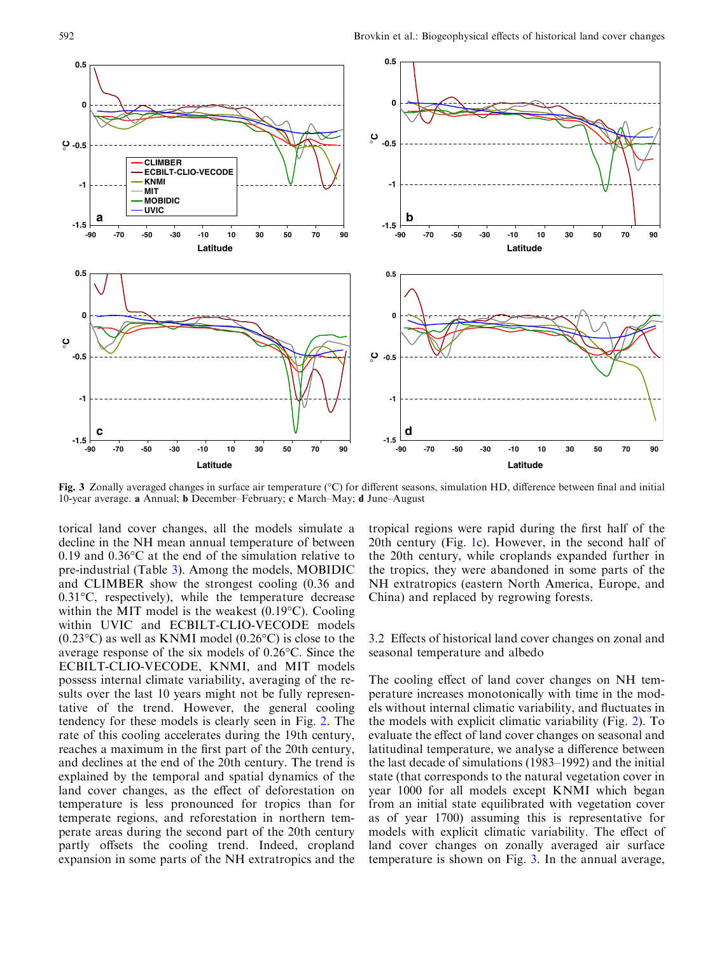<span id="page-5-0"></span>

Fig. 3 Zonally averaged changes in surface air temperature (°C) for different seasons, simulation HD, difference between final and initial 10-year average. a Annual; b December–February; c March–May; d June–August

torical land cover changes, all the models simulate a decline in the NH mean annual temperature of between 0.19 and  $0.36^{\circ}$ C at the end of the simulation relative to pre-industrial (Table [3](#page-4-0)). Among the models, MOBIDIC and CLIMBER show the strongest cooling (0.36 and  $0.31^{\circ}$ C, respectively), while the temperature decrease within the MIT model is the weakest  $(0.19\textdegree C)$ . Cooling within UVIC and ECBILT-CLIO-VECODE models  $(0.23\textdegree C)$  as well as KNMI model  $(0.26\textdegree C)$  is close to the average response of the six models of 0.26°C. Since the ECBILT-CLIO-VECODE, KNMI, and MIT models possess internal climate variability, averaging of the results over the last 10 years might not be fully representative of the trend. However, the general cooling tendency for these models is clearly seen in Fig. [2.](#page-4-0) The rate of this cooling accelerates during the 19th century, reaches a maximum in the first part of the 20th century, and declines at the end of the 20th century. The trend is explained by the temporal and spatial dynamics of the land cover changes, as the effect of deforestation on temperature is less pronounced for tropics than for temperate regions, and reforestation in northern temperate areas during the second part of the 20th century partly offsets the cooling trend. Indeed, cropland expansion in some parts of the NH extratropics and the

tropical regions were rapid during the first half of the 20th century (Fig. [1](#page-3-0)c). However, in the second half of the 20th century, while croplands expanded further in the tropics, they were abandoned in some parts of the NH extratropics (eastern North America, Europe, and China) and replaced by regrowing forests.

3.2 Effects of historical land cover changes on zonal and seasonal temperature and albedo

The cooling effect of land cover changes on NH temperature increases monotonically with time in the models without internal climatic variability, and fluctuates in the models with explicit climatic variability (Fig. [2](#page-4-0)). To evaluate the effect of land cover changes on seasonal and latitudinal temperature, we analyse a difference between the last decade of simulations (1983–1992) and the initial state (that corresponds to the natural vegetation cover in year 1000 for all models except KNMI which began from an initial state equilibrated with vegetation cover as of year 1700) assuming this is representative for models with explicit climatic variability. The effect of land cover changes on zonally averaged air surface temperature is shown on Fig. 3. In the annual average,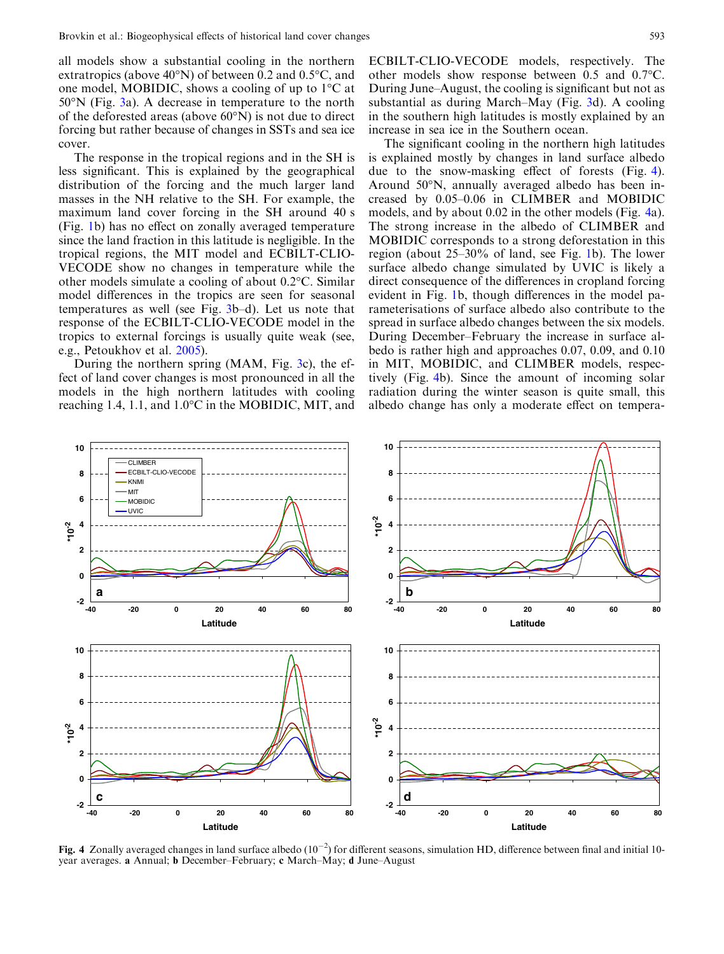<span id="page-6-0"></span>all models show a substantial cooling in the northern extratropics (above  $40^{\circ}$ N) of between 0.2 and 0.5 $^{\circ}$ C, and one model, MOBIDIC, shows a cooling of up to  $1^{\circ}$ C at  $50^{\circ}$ N (Fig. [3a](#page-5-0)). A decrease in temperature to the north of the deforested areas (above  $60^{\circ}$ N) is not due to direct forcing but rather because of changes in SSTs and sea ice cover.

The response in the tropical regions and in the SH is less significant. This is explained by the geographical distribution of the forcing and the much larger land masses in the NH relative to the SH. For example, the maximum land cover forcing in the SH around 40 s (Fig. [1](#page-3-0)b) has no effect on zonally averaged temperature since the land fraction in this latitude is negligible. In the tropical regions, the MIT model and ECBILT-CLIO-VECODE show no changes in temperature while the other models simulate a cooling of about 0.2°C. Similar model differences in the tropics are seen for seasonal temperatures as well (see Fig. [3b](#page-5-0)–d). Let us note that response of the ECBILT-CLIO-VECODE model in the tropics to external forcings is usually quite weak (see, e.g., Petoukhov et al. [2005](#page-13-0)).

During the northern spring (MAM, Fig. [3](#page-5-0)c), the effect of land cover changes is most pronounced in all the models in the high northern latitudes with cooling reaching 1.4, 1.1, and  $1.0^{\circ}$ C in the MOBIDIC, MIT, and

ECBILT-CLIO-VECODE models, respectively. The other models show response between  $0.5$  and  $0.7^{\circ}$ C. During June–August, the cooling is significant but not as substantial as during March–May (Fig. [3d](#page-5-0)). A cooling in the southern high latitudes is mostly explained by an increase in sea ice in the Southern ocean.

The significant cooling in the northern high latitudes is explained mostly by changes in land surface albedo due to the snow-masking effect of forests (Fig. 4). Around 50°N, annually averaged albedo has been increased by 0.05–0.06 in CLIMBER and MOBIDIC models, and by about 0.02 in the other models (Fig. 4a). The strong increase in the albedo of CLIMBER and MOBIDIC corresponds to a strong deforestation in this region (about 25–30% of land, see Fig. [1b](#page-3-0)). The lower surface albedo change simulated by UVIC is likely a direct consequence of the differences in cropland forcing evident in Fig. [1](#page-3-0)b, though differences in the model parameterisations of surface albedo also contribute to the spread in surface albedo changes between the six models. During December–February the increase in surface albedo is rather high and approaches 0.07, 0.09, and 0.10 in MIT, MOBIDIC, and CLIMBER models, respectively (Fig. 4b). Since the amount of incoming solar radiation during the winter season is quite small, this albedo change has only a moderate effect on tempera-



Fig. 4 Zonally averaged changes in land surface albedo  $(10^{-2})$  for different seasons, simulation HD, difference between final and initial 10year averages. a Annual; b December–February; c March–May; d June–August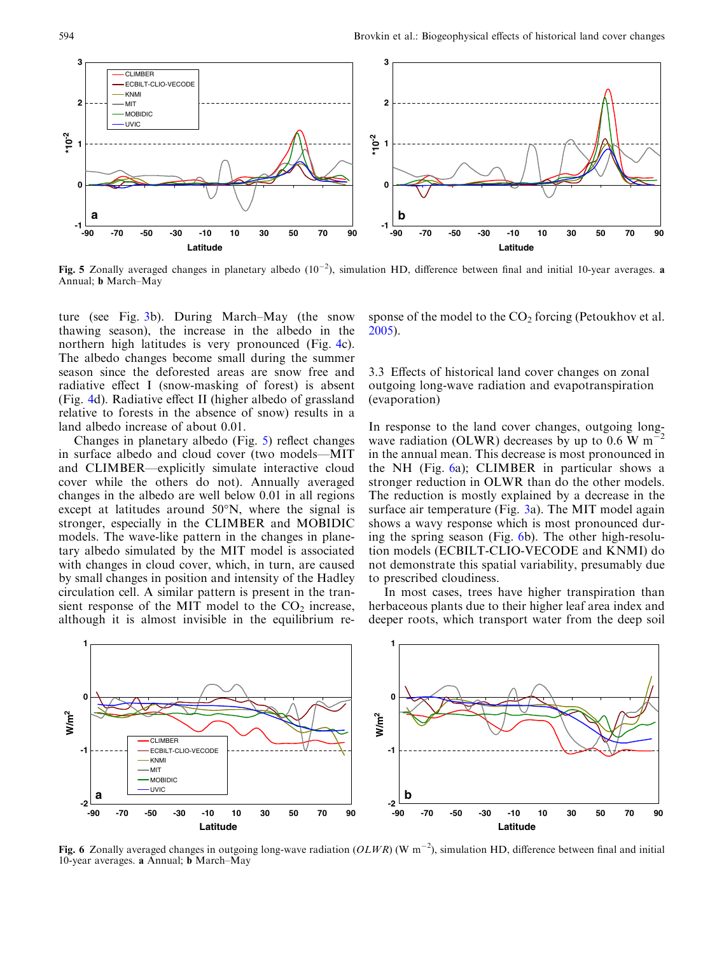<span id="page-7-0"></span>

Fig. 5 Zonally averaged changes in planetary albedo  $(10^{-2})$ , simulation HD, difference between final and initial 10-year averages. a Annual; b March–May

ture (see Fig. [3](#page-5-0)b). During March–May (the snow thawing season), the increase in the albedo in the northern high latitudes is very pronounced (Fig. [4](#page-6-0)c). The albedo changes become small during the summer season since the deforested areas are snow free and radiative effect I (snow-masking of forest) is absent (Fig. [4](#page-6-0)d). Radiative effect II (higher albedo of grassland relative to forests in the absence of snow) results in a land albedo increase of about 0.01.

Changes in planetary albedo (Fig. 5) reflect changes in surface albedo and cloud cover (two models—MIT and CLIMBER—explicitly simulate interactive cloud cover while the others do not). Annually averaged changes in the albedo are well below 0.01 in all regions except at latitudes around  $50^{\circ}$ N, where the signal is stronger, especially in the CLIMBER and MOBIDIC models. The wave-like pattern in the changes in planetary albedo simulated by the MIT model is associated with changes in cloud cover, which, in turn, are caused by small changes in position and intensity of the Hadley circulation cell. A similar pattern is present in the transient response of the MIT model to the  $CO<sub>2</sub>$  increase, although it is almost invisible in the equilibrium re-

sponse of the model to the  $CO<sub>2</sub>$  forcing (Petoukhov et al. [2005\)](#page-13-0).

3.3 Effects of historical land cover changes on zonal outgoing long-wave radiation and evapotranspiration (evaporation)

In response to the land cover changes, outgoing longwave radiation (OLWR) decreases by up to 0.6 W  $\text{m}$ <sup>-</sup> in the annual mean. This decrease is most pronounced in the NH (Fig. 6a); CLIMBER in particular shows a stronger reduction in OLWR than do the other models. The reduction is mostly explained by a decrease in the surface air temperature (Fig. [3](#page-5-0)a). The MIT model again shows a wavy response which is most pronounced during the spring season (Fig. 6b). The other high-resolution models (ECBILT-CLIO-VECODE and KNMI) do not demonstrate this spatial variability, presumably due to prescribed cloudiness.

In most cases, trees have higher transpiration than herbaceous plants due to their higher leaf area index and deeper roots, which transport water from the deep soil



Fig. 6 Zonally averaged changes in outgoing long-wave radiation  $(OLWR)$  (W m<sup>-2</sup>), simulation HD, difference between final and initial 10-year averages. a Annual; b March–May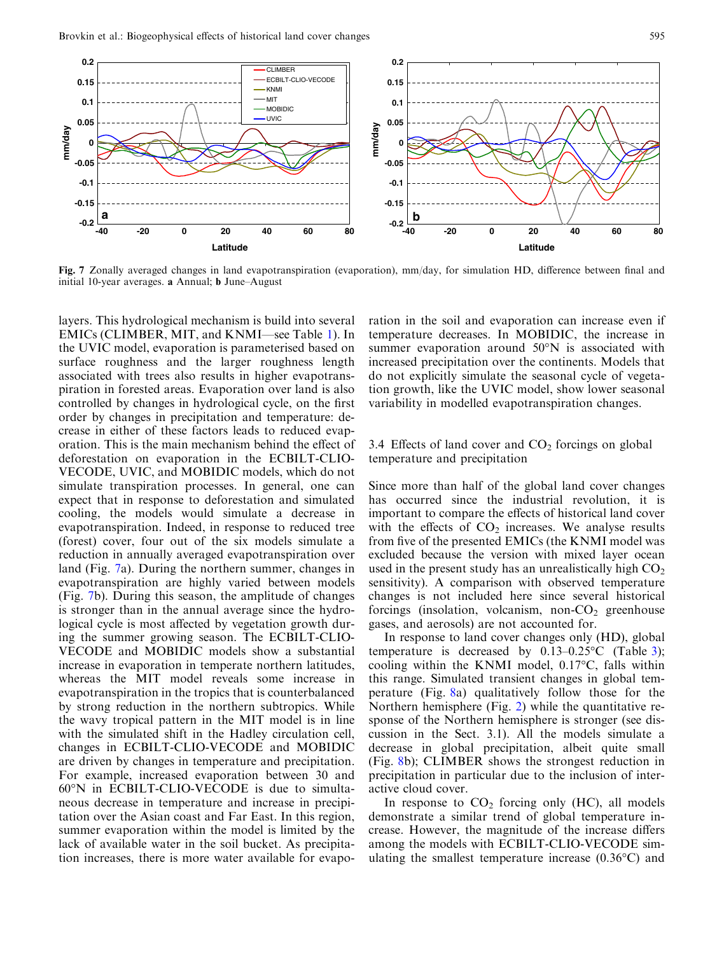<span id="page-8-0"></span>

Fig. 7 Zonally averaged changes in land evapotranspiration (evaporation), mm/day, for simulation HD, difference between final and initial 10-year averages. a Annual; b June–August

layers. This hydrological mechanism is build into several EMICs (CLIMBER, MIT, and KNMI—see Table [1\)](#page-2-0). In the UVIC model, evaporation is parameterised based on surface roughness and the larger roughness length associated with trees also results in higher evapotranspiration in forested areas. Evaporation over land is also controlled by changes in hydrological cycle, on the first order by changes in precipitation and temperature: decrease in either of these factors leads to reduced evaporation. This is the main mechanism behind the effect of deforestation on evaporation in the ECBILT-CLIO-VECODE, UVIC, and MOBIDIC models, which do not simulate transpiration processes. In general, one can expect that in response to deforestation and simulated cooling, the models would simulate a decrease in evapotranspiration. Indeed, in response to reduced tree (forest) cover, four out of the six models simulate a reduction in annually averaged evapotranspiration over land (Fig. 7a). During the northern summer, changes in evapotranspiration are highly varied between models (Fig. 7b). During this season, the amplitude of changes is stronger than in the annual average since the hydrological cycle is most affected by vegetation growth during the summer growing season. The ECBILT-CLIO-VECODE and MOBIDIC models show a substantial increase in evaporation in temperate northern latitudes, whereas the MIT model reveals some increase in evapotranspiration in the tropics that is counterbalanced by strong reduction in the northern subtropics. While the wavy tropical pattern in the MIT model is in line with the simulated shift in the Hadley circulation cell, changes in ECBILT-CLIO-VECODE and MOBIDIC are driven by changes in temperature and precipitation. For example, increased evaporation between 30 and 60-N in ECBILT-CLIO-VECODE is due to simultaneous decrease in temperature and increase in precipitation over the Asian coast and Far East. In this region, summer evaporation within the model is limited by the lack of available water in the soil bucket. As precipitation increases, there is more water available for evaporation in the soil and evaporation can increase even if temperature decreases. In MOBIDIC, the increase in summer evaporation around  $50^{\circ}$ N is associated with increased precipitation over the continents. Models that do not explicitly simulate the seasonal cycle of vegetation growth, like the UVIC model, show lower seasonal variability in modelled evapotranspiration changes.

3.4 Effects of land cover and  $CO<sub>2</sub>$  forcings on global temperature and precipitation

Since more than half of the global land cover changes has occurred since the industrial revolution, it is important to compare the effects of historical land cover with the effects of  $CO<sub>2</sub>$  increases. We analyse results from five of the presented EMICs (the KNMI model was excluded because the version with mixed layer ocean used in the present study has an unrealistically high  $CO<sub>2</sub>$ sensitivity). A comparison with observed temperature changes is not included here since several historical forcings (insolation, volcanism, non- $CO<sub>2</sub>$  greenhouse gases, and aerosols) are not accounted for.

In response to land cover changes only (HD), global temperature is decreased by  $0.13-0.25^{\circ}$ C (Table [3\)](#page-4-0); cooling within the KNMI model,  $0.17^{\circ}$ C, falls within this range. Simulated transient changes in global temperature (Fig. [8](#page-9-0)a) qualitatively follow those for the Northern hemisphere (Fig. [2](#page-4-0)) while the quantitative response of the Northern hemisphere is stronger (see discussion in the Sect. 3.1). All the models simulate a decrease in global precipitation, albeit quite small (Fig. [8b](#page-9-0)); CLIMBER shows the strongest reduction in precipitation in particular due to the inclusion of interactive cloud cover.

In response to  $CO<sub>2</sub>$  forcing only (HC), all models demonstrate a similar trend of global temperature increase. However, the magnitude of the increase differs among the models with ECBILT-CLIO-VECODE simulating the smallest temperature increase  $(0.36^{\circ}C)$  and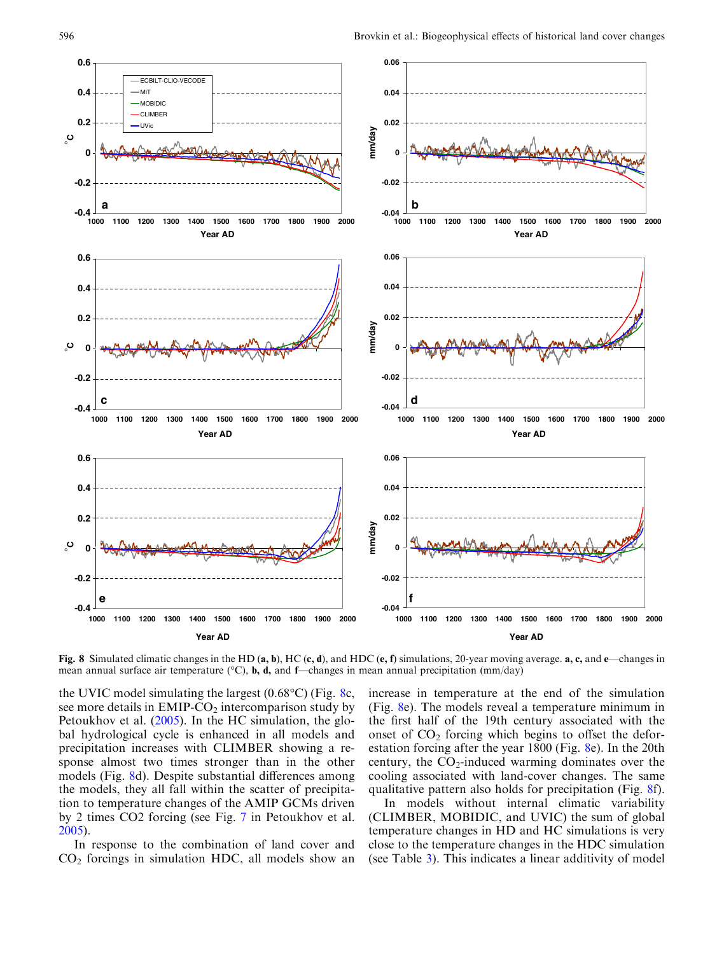<span id="page-9-0"></span>

Fig. 8 Simulated climatic changes in the HD  $(a, b)$ , HC  $(c, d)$ , and HDC  $(e, f)$  simulations, 20-year moving average. a, c, and e—changes in mean annual surface air temperature (°C), **b, d,** and **f**—changes in mean annual precipitation (mm/day)

the UVIC model simulating the largest  $(0.68\textdegree C)$  (Fig. 8c, see more details in  $EMIP-CO<sub>2</sub>$  intercomparison study by Petoukhov et al. [\(2005\)](#page-13-0). In the HC simulation, the global hydrological cycle is enhanced in all models and precipitation increases with CLIMBER showing a response almost two times stronger than in the other models (Fig. 8d). Despite substantial differences among the models, they all fall within the scatter of precipitation to temperature changes of the AMIP GCMs driven by 2 times CO2 forcing (see Fig. [7](#page-8-0) in Petoukhov et al. [2005](#page-13-0)).

In response to the combination of land cover and  $CO<sub>2</sub>$  forcings in simulation HDC, all models show an increase in temperature at the end of the simulation (Fig. 8e). The models reveal a temperature minimum in the first half of the 19th century associated with the onset of  $CO<sub>2</sub>$  forcing which begins to offset the deforestation forcing after the year 1800 (Fig. 8e). In the 20th century, the  $CO<sub>2</sub>$ -induced warming dominates over the cooling associated with land-cover changes. The same qualitative pattern also holds for precipitation (Fig. 8f).

In models without internal climatic variability (CLIMBER, MOBIDIC, and UVIC) the sum of global temperature changes in HD and HC simulations is very close to the temperature changes in the HDC simulation (see Table [3\)](#page-4-0). This indicates a linear additivity of model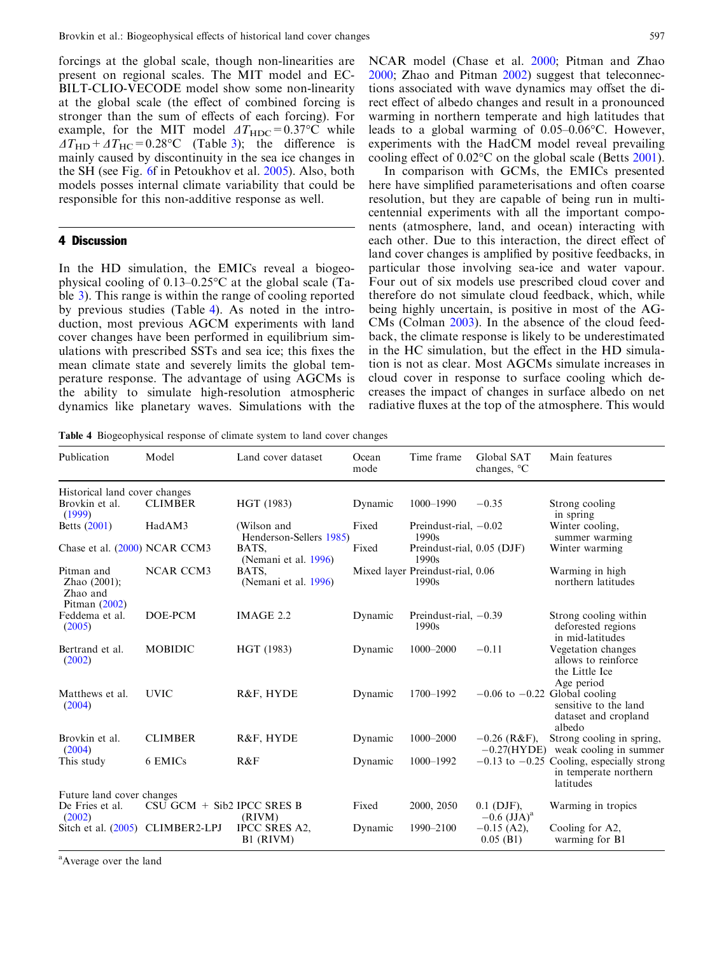<span id="page-10-0"></span>forcings at the global scale, though non-linearities are present on regional scales. The MIT model and EC-BILT-CLIO-VECODE model show some non-linearity at the global scale (the effect of combined forcing is stronger than the sum of effects of each forcing). For example, for the MIT model  $AT_{\text{HDC}} = 0.37$ °C while  $\Delta T_{\rm HD} + \Delta T_{\rm HC} = 0.28\text{°C}$  (Table [3](#page-4-0)); the difference is mainly caused by discontinuity in the sea ice changes in the SH (see Fig. [6f](#page-7-0) in Petoukhov et al. [2005](#page-13-0)). Also, both models posses internal climate variability that could be responsible for this non-additive response as well.

## 4 Discussion

In the HD simulation, the EMICs reveal a biogeophysical cooling of  $0.13\text{--}0.25\text{°C}$  at the global scale (Table [3](#page-4-0)). This range is within the range of cooling reported by previous studies (Table 4). As noted in the introduction, most previous AGCM experiments with land cover changes have been performed in equilibrium simulations with prescribed SSTs and sea ice; this fixes the mean climate state and severely limits the global temperature response. The advantage of using AGCMs is the ability to simulate high-resolution atmospheric dynamics like planetary waves. Simulations with the

NCAR model (Chase et al. [2000](#page-12-0); Pitman and Zhao [2000;](#page-13-0) Zhao and Pitman [2002\)](#page-13-0) suggest that teleconnections associated with wave dynamics may offset the direct effect of albedo changes and result in a pronounced warming in northern temperate and high latitudes that leads to a global warming of 0.05–0.06°C. However, experiments with the HadCM model reveal prevailing cooling effect of  $0.02^{\circ}$ C on the global scale (Betts  $2001$ ).

In comparison with GCMs, the EMICs presented here have simplified parameterisations and often coarse resolution, but they are capable of being run in multicentennial experiments with all the important components (atmosphere, land, and ocean) interacting with each other. Due to this interaction, the direct effect of land cover changes is amplified by positive feedbacks, in particular those involving sea-ice and water vapour. Four out of six models use prescribed cloud cover and therefore do not simulate cloud feedback, which, while being highly uncertain, is positive in most of the AG-CMs (Colman [2003](#page-12-0)). In the absence of the cloud feedback, the climate response is likely to be underestimated in the HC simulation, but the effect in the HD simulation is not as clear. Most AGCMs simulate increases in cloud cover in response to surface cooling which decreases the impact of changes in surface albedo on net radiative fluxes at the top of the atmosphere. This would

Table 4 Biogeophysical response of climate system to land cover changes

| Publication                                                  | Model                       | Land cover dataset                     | Ocean<br>mode | Time frame                                | Global SAT<br>changes, °C                                 | Main features                                                                                |
|--------------------------------------------------------------|-----------------------------|----------------------------------------|---------------|-------------------------------------------|-----------------------------------------------------------|----------------------------------------------------------------------------------------------|
| Historical land cover changes                                |                             |                                        |               |                                           |                                                           |                                                                                              |
| Brovkin et al.<br>(1999)                                     | <b>CLIMBER</b>              | HGT (1983)                             | Dynamic       | 1000-1990                                 | $-0.35$                                                   | Strong cooling<br>in spring                                                                  |
| Betts (2001)                                                 | HadAM3                      | (Wilson and<br>Henderson-Sellers 1985) | Fixed         | Preindust-rial, $-0.02$<br>1990s          |                                                           | Winter cooling,<br>summer warming                                                            |
| Chase et al. (2000) NCAR CCM3                                |                             | BATS,<br>(Nemani et al. 1996)          | Fixed         | Preindust-rial, 0.05 (DJF)<br>1990s       |                                                           | Winter warming                                                                               |
| Pitman and<br>Zhao $(2001)$ ;<br>Zhao and<br>Pitman $(2002)$ | <b>NCAR CCM3</b>            | BATS,<br>(Nemani et al. 1996)          |               | Mixed layer Preindust-rial, 0.06<br>1990s |                                                           | Warming in high<br>northern latitudes                                                        |
| Feddema et al.<br>(2005)                                     | DOE-PCM                     | IMAGE 2.2                              | Dynamic       | Preindust-rial, $-0.39$<br>1990s          |                                                           | Strong cooling within<br>deforested regions<br>in mid-latitudes                              |
| Bertrand et al.<br>(2002)                                    | <b>MOBIDIC</b>              | HGT (1983)                             | Dynamic       | $1000 - 2000$                             | $-0.11$                                                   | Vegetation changes<br>allows to reinforce<br>the Little Ice<br>Age period                    |
| Matthews et al.<br>(2004)                                    | <b>UVIC</b>                 | R&F, HYDE                              | Dynamic       | 1700-1992                                 |                                                           | $-0.06$ to $-0.22$ Global cooling<br>sensitive to the land<br>dataset and cropland<br>albedo |
| Brovkin et al.<br>(2004)                                     | <b>CLIMBER</b>              | R&F, HYDE                              | Dynamic       | 1000-2000                                 | $-0.26$ (R&F),                                            | Strong cooling in spring,<br>$-0.27$ (HYDE) weak cooling in summer                           |
| This study                                                   | 6 EMICs                     | R&F                                    | Dynamic       | $1000 - 1992$                             |                                                           | $-0.13$ to $-0.25$ Cooling, especially strong<br>in temperate northern<br>latitudes          |
| Future land cover changes<br>De Fries et al.                 | $CSU GCM + Sib2 IPC SRES B$ |                                        | Fixed         | 2000, 2050                                | $0.1$ (DJF),                                              | Warming in tropics                                                                           |
| (2002)<br>Sitch et al. (2005) CLIMBER2-LPJ                   |                             | (RIVM)<br>IPCC SRES A2,<br>B1 (RIVM)   | Dynamic       | 1990-2100                                 | $-0.6$ (JJA) <sup>a</sup><br>$-0.15$ (A2),<br>$0.05$ (B1) | Cooling for A2,<br>warming for B1                                                            |

<sup>a</sup>Average over the land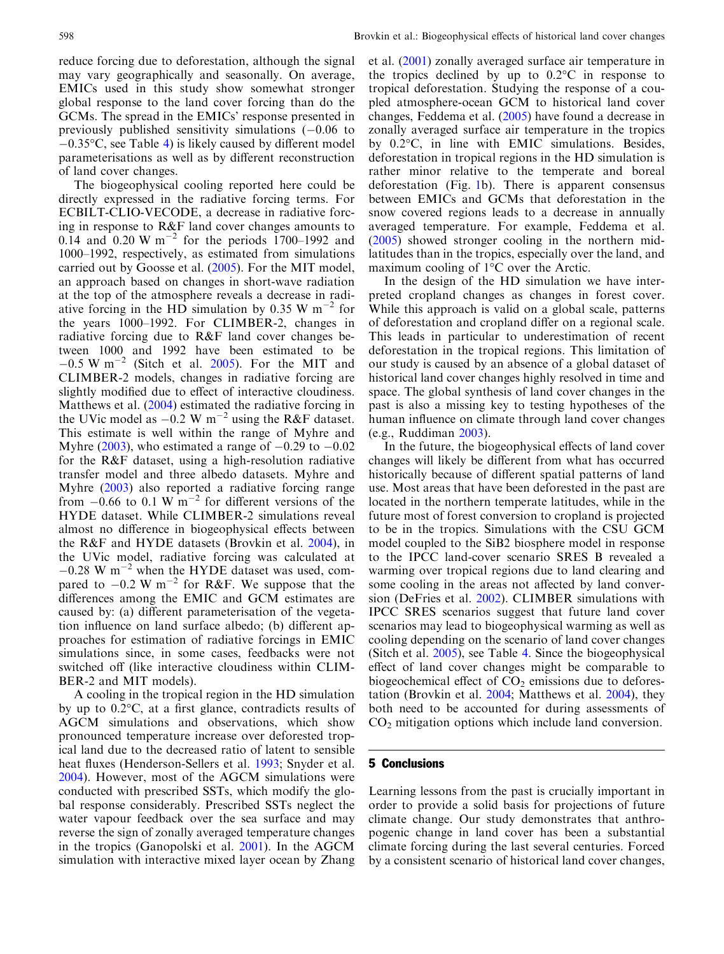reduce forcing due to deforestation, although the signal may vary geographically and seasonally. On average, EMICs used in this study show somewhat stronger global response to the land cover forcing than do the GCMs. The spread in the EMICs' response presented in previously published sensitivity simulations  $(-0.06)$  to  $-0.35\textdegree C$ , see Table [4](#page-10-0)) is likely caused by different model parameterisations as well as by different reconstruction of land cover changes.

The biogeophysical cooling reported here could be directly expressed in the radiative forcing terms. For ECBILT-CLIO-VECODE, a decrease in radiative forcing in response to R&F land cover changes amounts to  $0.14$  and  $0.20$  W m<sup>-2</sup> for the periods 1700–1992 and 1000–1992, respectively, as estimated from simulations carried out by Goosse et al. [\(2005\)](#page-12-0). For the MIT model, an approach based on changes in short-wave radiation at the top of the atmosphere reveals a decrease in radiative forcing in the HD simulation by 0.35 W  $\text{m}^{-2}$  for the years 1000–1992. For CLIMBER-2, changes in radiative forcing due to R&F land cover changes between 1000 and 1992 have been estimated to be  $-0.5$  W m<sup>-2</sup> (Sitch et al. [2005](#page-13-0)). For the MIT and CLIMBER-2 models, changes in radiative forcing are slightly modified due to effect of interactive cloudiness. Matthews et al. ([2004](#page-13-0)) estimated the radiative forcing in the UVic model as  $-0.2$  W m<sup>-2</sup> using the R&F dataset. This estimate is well within the range of Myhre and Myhre ([2003\)](#page-13-0), who estimated a range of  $-0.29$  to  $-0.02$ for the R&F dataset, using a high-resolution radiative transfer model and three albedo datasets. Myhre and Myhre ([2003](#page-13-0)) also reported a radiative forcing range from  $-0.66$  to 0.1 W m<sup>-2</sup> for different versions of the HYDE dataset. While CLIMBER-2 simulations reveal almost no difference in biogeophysical effects between the R&F and HYDE datasets (Brovkin et al. [2004\)](#page-12-0), in the UVic model, radiative forcing was calculated at  $-0.28$  W m<sup>-2</sup> when the HYDE dataset was used, compared to  $-0.2$  W m<sup>-2</sup> for R&F. We suppose that the differences among the EMIC and GCM estimates are caused by: (a) different parameterisation of the vegetation influence on land surface albedo; (b) different approaches for estimation of radiative forcings in EMIC simulations since, in some cases, feedbacks were not switched off (like interactive cloudiness within CLIM-BER-2 and MIT models).

A cooling in the tropical region in the HD simulation by up to 0.2-C, at a first glance, contradicts results of AGCM simulations and observations, which show pronounced temperature increase over deforested tropical land due to the decreased ratio of latent to sensible heat fluxes (Henderson-Sellers et al. [1993;](#page-12-0) Snyder et al. [2004](#page-13-0)). However, most of the AGCM simulations were conducted with prescribed SSTs, which modify the global response considerably. Prescribed SSTs neglect the water vapour feedback over the sea surface and may reverse the sign of zonally averaged temperature changes in the tropics (Ganopolski et al. [2001](#page-12-0)). In the AGCM simulation with interactive mixed layer ocean by Zhang et al. [\(2001\)](#page-13-0) zonally averaged surface air temperature in the tropics declined by up to  $0.2^{\circ}$ C in response to tropical deforestation. Studying the response of a coupled atmosphere-ocean GCM to historical land cover changes, Feddema et al. ([2005\)](#page-12-0) have found a decrease in zonally averaged surface air temperature in the tropics by 0.2-C, in line with EMIC simulations. Besides, deforestation in tropical regions in the HD simulation is rather minor relative to the temperate and boreal deforestation (Fig. [1](#page-3-0)b). There is apparent consensus between EMICs and GCMs that deforestation in the snow covered regions leads to a decrease in annually averaged temperature. For example, Feddema et al. ([2005](#page-12-0)) showed stronger cooling in the northern midlatitudes than in the tropics, especially over the land, and maximum cooling of  $1^{\circ}$ C over the Arctic.

In the design of the HD simulation we have interpreted cropland changes as changes in forest cover. While this approach is valid on a global scale, patterns of deforestation and cropland differ on a regional scale. This leads in particular to underestimation of recent deforestation in the tropical regions. This limitation of our study is caused by an absence of a global dataset of historical land cover changes highly resolved in time and space. The global synthesis of land cover changes in the past is also a missing key to testing hypotheses of the human influence on climate through land cover changes (e.g., Ruddiman [2003\)](#page-13-0).

In the future, the biogeophysical effects of land cover changes will likely be different from what has occurred historically because of different spatial patterns of land use. Most areas that have been deforested in the past are located in the northern temperate latitudes, while in the future most of forest conversion to cropland is projected to be in the tropics. Simulations with the CSU GCM model coupled to the SiB2 biosphere model in response to the IPCC land-cover scenario SRES B revealed a warming over tropical regions due to land clearing and some cooling in the areas not affected by land conversion (DeFries et al. [2002](#page-12-0)). CLIMBER simulations with IPCC SRES scenarios suggest that future land cover scenarios may lead to biogeophysical warming as well as cooling depending on the scenario of land cover changes (Sitch et al. [2005](#page-13-0)), see Table [4.](#page-10-0) Since the biogeophysical effect of land cover changes might be comparable to biogeochemical effect of  $CO<sub>2</sub>$  emissions due to deforestation (Brovkin et al. [2004](#page-12-0); Matthews et al. [2004\)](#page-13-0), they both need to be accounted for during assessments of  $CO<sub>2</sub>$  mitigation options which include land conversion.

#### 5 Conclusions

Learning lessons from the past is crucially important in order to provide a solid basis for projections of future climate change. Our study demonstrates that anthropogenic change in land cover has been a substantial climate forcing during the last several centuries. Forced by a consistent scenario of historical land cover changes,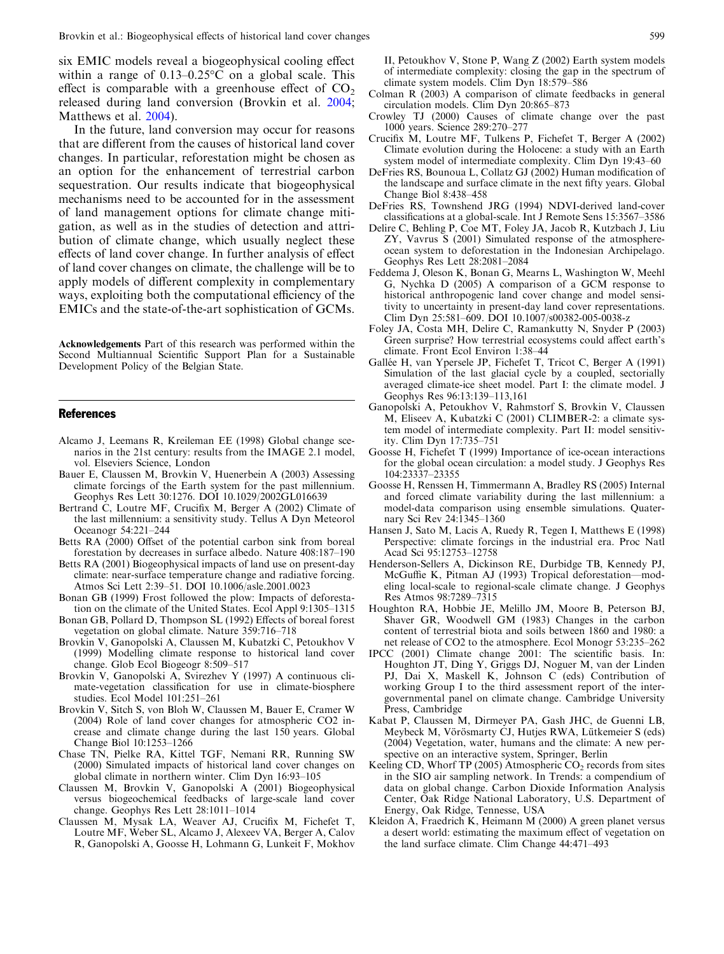<span id="page-12-0"></span>six EMIC models reveal a biogeophysical cooling effect within a range of  $0.13\text{--}0.25^{\circ}\text{C}$  on a global scale. This effect is comparable with a greenhouse effect of  $CO<sub>2</sub>$ released during land conversion (Brovkin et al. 2004; Matthews et al. [2004](#page-13-0)).

In the future, land conversion may occur for reasons that are different from the causes of historical land cover changes. In particular, reforestation might be chosen as an option for the enhancement of terrestrial carbon sequestration. Our results indicate that biogeophysical mechanisms need to be accounted for in the assessment of land management options for climate change mitigation, as well as in the studies of detection and attribution of climate change, which usually neglect these effects of land cover change. In further analysis of effect of land cover changes on climate, the challenge will be to apply models of different complexity in complementary ways, exploiting both the computational efficiency of the EMICs and the state-of-the-art sophistication of GCMs.

Acknowledgements Part of this research was performed within the Second Multiannual Scientific Support Plan for a Sustainable Development Policy of the Belgian State.

#### References

- Alcamo J, Leemans R, Kreileman EE (1998) Global change scenarios in the 21st century: results from the IMAGE 2.1 model, vol. Elseviers Science, London
- Bauer E, Claussen M, Brovkin V, Huenerbein A (2003) Assessing climate forcings of the Earth system for the past millennium. Geophys Res Lett 30:1276. DOI 10.1029/2002GL016639
- Bertrand C, Loutre MF, Crucifix M, Berger A (2002) Climate of the last millennium: a sensitivity study. Tellus A Dyn Meteorol Oceanogr 54:221–244
- Betts RA (2000) Offset of the potential carbon sink from boreal forestation by decreases in surface albedo. Nature 408:187–190
- Betts RA (2001) Biogeophysical impacts of land use on present-day climate: near-surface temperature change and radiative forcing. Atmos Sci Lett 2:39–51. DOI 10.1006/asle.2001.0023
- Bonan GB (1999) Frost followed the plow: Impacts of deforestation on the climate of the United States. Ecol Appl 9:1305–1315
- Bonan GB, Pollard D, Thompson SL (1992) Effects of boreal forest vegetation on global climate. Nature 359:716–718
- Brovkin V, Ganopolski A, Claussen M, Kubatzki C, Petoukhov V (1999) Modelling climate response to historical land cover change. Glob Ecol Biogeogr 8:509–517
- Brovkin V, Ganopolski A, Svirezhev Y (1997) A continuous climate-vegetation classification for use in climate-biosphere studies. Ecol Model 101:251–261
- Brovkin V, Sitch S, von Bloh W, Claussen M, Bauer E, Cramer W (2004) Role of land cover changes for atmospheric CO2 increase and climate change during the last 150 years. Global Change Biol 10:1253–1266
- Chase TN, Pielke RA, Kittel TGF, Nemani RR, Running SW (2000) Simulated impacts of historical land cover changes on global climate in northern winter. Clim Dyn 16:93–105
- Claussen M, Brovkin V, Ganopolski A (2001) Biogeophysical versus biogeochemical feedbacks of large-scale land cover change. Geophys Res Lett 28:1011–1014
- Claussen M, Mysak LA, Weaver AJ, Crucifix M, Fichefet T, Loutre MF, Weber SL, Alcamo J, Alexeev VA, Berger A, Calov R, Ganopolski A, Goosse H, Lohmann G, Lunkeit F, Mokhov

II, Petoukhov V, Stone P, Wang Z (2002) Earth system models of intermediate complexity: closing the gap in the spectrum of climate system models. Clim Dyn 18:579–586

- Colman R (2003) A comparison of climate feedbacks in general circulation models. Clim Dyn 20:865–873
- Crowley TJ (2000) Causes of climate change over the past 1000 years. Science 289:270–277
- Crucifix M, Loutre MF, Tulkens P, Fichefet T, Berger A (2002) Climate evolution during the Holocene: a study with an Earth system model of intermediate complexity. Clim Dyn 19:43–60
- DeFries RS, Bounoua L, Collatz GJ (2002) Human modification of the landscape and surface climate in the next fifty years. Global Change Biol 8:438–458
- DeFries RS, Townshend JRG (1994) NDVI-derived land-cover classifications at a global-scale. Int J Remote Sens 15:3567–3586
- Delire C, Behling P, Coe MT, Foley JA, Jacob R, Kutzbach J, Liu ZY, Vavrus S (2001) Simulated response of the atmosphereocean system to deforestation in the Indonesian Archipelago. Geophys Res Lett 28:2081–2084
- Feddema J, Oleson K, Bonan G, Mearns L, Washington W, Meehl G, Nychka D (2005) A comparison of a GCM response to historical anthropogenic land cover change and model sensitivity to uncertainty in present-day land cover representations. Clim Dyn 25:581–609. DOI 10.1007/s00382-005-0038-z
- Foley JA, Costa MH, Delire C, Ramankutty N, Snyder P (2003) Green surprise? How terrestrial ecosystems could affect earth's climate. Front Ecol Environ 1:38–44
- Gallée H, van Ypersele JP, Fichefet T, Tricot C, Berger A (1991) Simulation of the last glacial cycle by a coupled, sectorially averaged climate-ice sheet model. Part I: the climate model. J Geophys Res 96:13:139–113,161
- Ganopolski A, Petoukhov V, Rahmstorf S, Brovkin V, Claussen M, Eliseev A, Kubatzki C (2001) CLIMBER-2: a climate system model of intermediate complexity. Part II: model sensitivity. Clim Dyn 17:735–751
- Goosse H, Fichefet T (1999) Importance of ice-ocean interactions for the global ocean circulation: a model study. J Geophys Res 104:23337–23355
- Goosse H, Renssen H, Timmermann A, Bradley RS (2005) Internal and forced climate variability during the last millennium: a model-data comparison using ensemble simulations. Quaternary Sci Rev 24:1345–1360
- Hansen J, Sato M, Lacis A, Ruedy R, Tegen I, Matthews E (1998) Perspective: climate forcings in the industrial era. Proc Natl Acad Sci 95:12753–12758
- Henderson-Sellers A, Dickinson RE, Durbidge TB, Kennedy PJ, McGuffie K, Pitman AJ (1993) Tropical deforestation—modeling local-scale to regional-scale climate change. J Geophys Res Atmos 98:7289–7315
- Houghton RA, Hobbie JE, Melillo JM, Moore B, Peterson BJ, Shaver GR, Woodwell GM (1983) Changes in the carbon content of terrestrial biota and soils between 1860 and 1980: a net release of CO2 to the atmosphere. Ecol Monogr 53:235–262
- IPCC (2001) Climate change 2001: The scientific basis. In: Houghton JT, Ding Y, Griggs DJ, Noguer M, van der Linden PJ, Dai X, Maskell K, Johnson C (eds) Contribution of working Group I to the third assessment report of the intergovernmental panel on climate change. Cambridge University Press, Cambridge
- Kabat P, Claussen M, Dirmeyer PA, Gash JHC, de Guenni LB, Meybeck M, Vörösmarty CJ, Hutjes RWA, Lütkemeier S (eds) (2004) Vegetation, water, humans and the climate: A new perspective on an interactive system, Springer, Berlin
- Keeling CD, Whorf TP (2005) Atmospheric  $CO<sub>2</sub>$  records from sites in the SIO air sampling network. In Trends: a compendium of data on global change. Carbon Dioxide Information Analysis Center, Oak Ridge National Laboratory, U.S. Department of Energy, Oak Ridge, Tennesse, USA
- Kleidon A, Fraedrich K, Heimann M (2000) A green planet versus a desert world: estimating the maximum effect of vegetation on the land surface climate. Clim Change 44:471–493